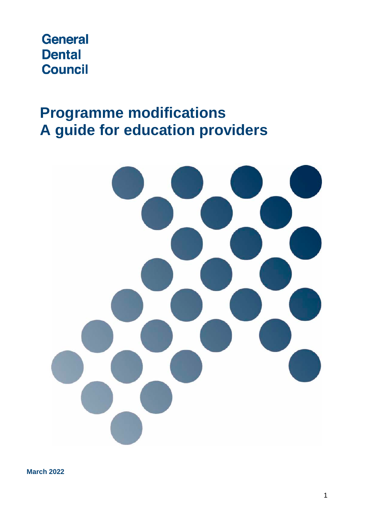# **General Dental Council**

# **Programme modifications A guide for education providers**



**March 2022**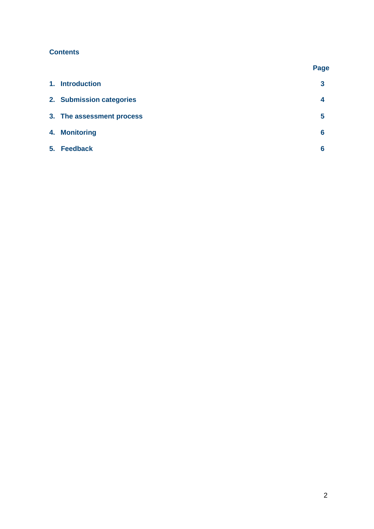# **Contents**

|                           | Page |
|---------------------------|------|
| 1. Introduction           | 3    |
| 2. Submission categories  | 4    |
| 3. The assessment process | 5    |
| 4. Monitoring             | 6    |
| 5. Feedback               | 6    |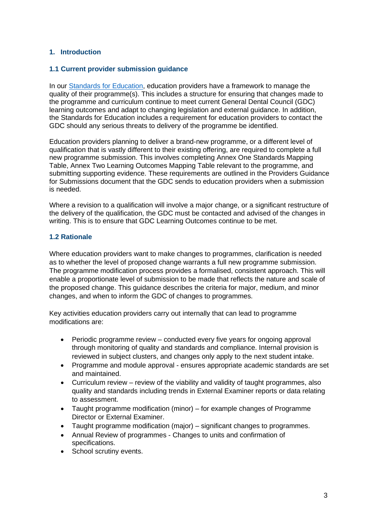# **1. Introduction**

#### **1.1 Current provider submission guidance**

In our [Standards for Education,](https://www.gdc-uk.org/docs/default-source/quality-assurance/standards-for-education-%28revised-2015%29.pdf) education providers have a framework to manage the quality of their programme(s). This includes a structure for ensuring that changes made to the programme and curriculum continue to meet current General Dental Council (GDC) learning outcomes and adapt to changing legislation and external guidance. In addition, the Standards for Education includes a requirement for education providers to contact the GDC should any serious threats to delivery of the programme be identified.

Education providers planning to deliver a brand-new programme, or a different level of qualification that is vastly different to their existing offering, are required to complete a full new programme submission. This involves completing Annex One Standards Mapping Table, Annex Two Learning Outcomes Mapping Table relevant to the programme, and submitting supporting evidence. These requirements are outlined in the Providers Guidance for Submissions document that the GDC sends to education providers when a submission is needed.

Where a revision to a qualification will involve a major change, or a significant restructure of the delivery of the qualification, the GDC must be contacted and advised of the changes in writing. This is to ensure that GDC Learning Outcomes continue to be met.

# **1.2 Rationale**

Where education providers want to make changes to programmes, clarification is needed as to whether the level of proposed change warrants a full new programme submission. The programme modification process provides a formalised, consistent approach. This will enable a proportionate level of submission to be made that reflects the nature and scale of the proposed change. This guidance describes the criteria for major, medium, and minor changes, and when to inform the GDC of changes to programmes.

Key activities education providers carry out internally that can lead to programme modifications are:

- Periodic programme review conducted every five years for ongoing approval through monitoring of quality and standards and compliance. Internal provision is reviewed in subject clusters, and changes only apply to the next student intake.
- Programme and module approval ensures appropriate academic standards are set and maintained.
- Curriculum review review of the viability and validity of taught programmes, also quality and standards including trends in External Examiner reports or data relating to assessment.
- Taught programme modification (minor) for example changes of Programme Director or External Examiner.
- Taught programme modification (major) significant changes to programmes.
- Annual Review of programmes Changes to units and confirmation of specifications.
- School scrutiny events.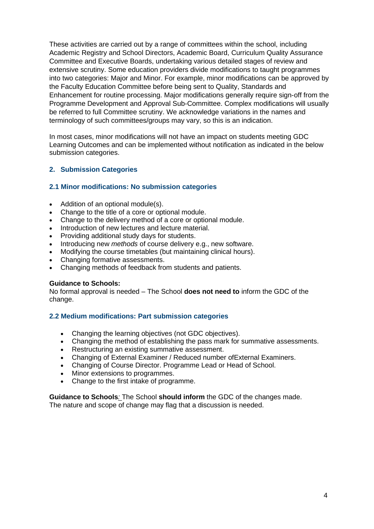These activities are carried out by a range of committees within the school, including Academic Registry and School Directors, Academic Board, Curriculum Quality Assurance Committee and Executive Boards, undertaking various detailed stages of review and extensive scrutiny. Some education providers divide modifications to taught programmes into two categories: Major and Minor. For example, minor modifications can be approved by the Faculty Education Committee before being sent to Quality, Standards and Enhancement for routine processing. Major modifications generally require sign-off from the Programme Development and Approval Sub-Committee. Complex modifications will usually be referred to full Committee scrutiny. We acknowledge variations in the names and terminology of such committees/groups may vary, so this is an indication.

In most cases, minor modifications will not have an impact on students meeting GDC Learning Outcomes and can be implemented without notification as indicated in the below submission categories.

# **2. Submission Categories**

#### **2.1 Minor modifications: No submission categories**

- Addition of an optional module(s).
- Change to the title of a core or optional module.
- Change to the delivery method of a core or optional module.
- Introduction of new lectures and lecture material.
- Providing additional study days for students.
- Introducing new *methods* of course delivery e.g., new software.
- Modifying the course timetables (but maintaining clinical hours).
- Changing formative assessments.
- Changing methods of feedback from students and patients.

#### **Guidance to Schools:**

No formal approval is needed – The School **does not need to** inform the GDC of the change.

#### **2.2 Medium modifications: Part submission categories**

- Changing the learning objectives (not GDC objectives).
- Changing the method of establishing the pass mark for summative assessments.
- Restructuring an existing summative assessment.
- Changing of External Examiner / Reduced number ofExternal Examiners.
- Changing of Course Director. Programme Lead or Head of School.
- Minor extensions to programmes.
- Change to the first intake of programme.

**Guidance to Schools***:* The School **should inform** the GDC of the changes made. The nature and scope of change may flag that a discussion is needed.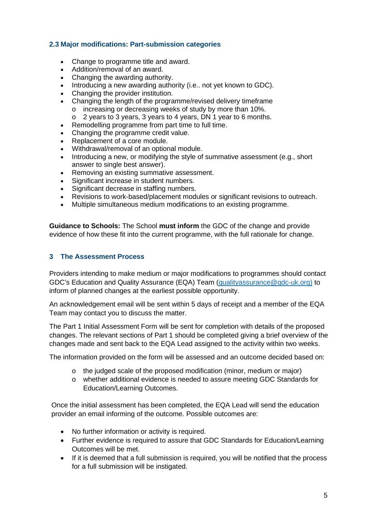# **2.3 Major modifications: Part-submission categories**

- Change to programme title and award.
- Addition/removal of an award.
- Changing the awarding authority.
- Introducing a new awarding authority (i.e., not yet known to GDC).
- Changing the provider institution.
- Changing the length of the programme/revised delivery timeframe o increasing or decreasing weeks of study by more than 10%.
	- o 2 years to 3 years, 3 years to 4 years, DN 1 year to 6 months.
- Remodelling programme from part time to full time.
- Changing the programme credit value.
- Replacement of a core module.
- Withdrawal/removal of an optional module.
- Introducing a new, or modifying the style of summative assessment (e.g., short answer to single best answer).
- Removing an existing summative assessment.
- Significant increase in student numbers.
- Significant decrease in staffing numbers.
- Revisions to work-based/placement modules or significant revisions to outreach.
- Multiple simultaneous medium modifications to an existing programme.

**Guidance to Schools:** The School **must inform** the GDC of the change and provide evidence of how these fit into the current programme, with the full rationale for change.

#### **3 The Assessment Process**

Providers intending to make medium or major modifications to programmes should contact GDC's Education and Quality Assurance (EQA) Team [\(qualityassurance@gdc-uk.org\)](mailto:qualityassurance@gdc-uk.org) to inform of planned changes at the earliest possible opportunity.

An acknowledgement email will be sent within 5 days of receipt and a member of the EQA Team may contact you to discuss the matter.

The Part 1 Initial Assessment Form will be sent for completion with details of the proposed changes. The relevant sections of Part 1 should be completed giving a brief overview of the changes made and sent back to the EQA Lead assigned to the activity within two weeks.

The information provided on the form will be assessed and an outcome decided based on:

- o the judged scale of the proposed modification (minor, medium or major)
- o whether additional evidence is needed to assure meeting GDC Standards for Education/Learning Outcomes.

Once the initial assessment has been completed, the EQA Lead will send the education provider an email informing of the outcome. Possible outcomes are:

- No further information or activity is required.
- Further evidence is required to assure that GDC Standards for Education/Learning Outcomes will be met.
- If it is deemed that a full submission is required, you will be notified that the process for a full submission will be instigated.